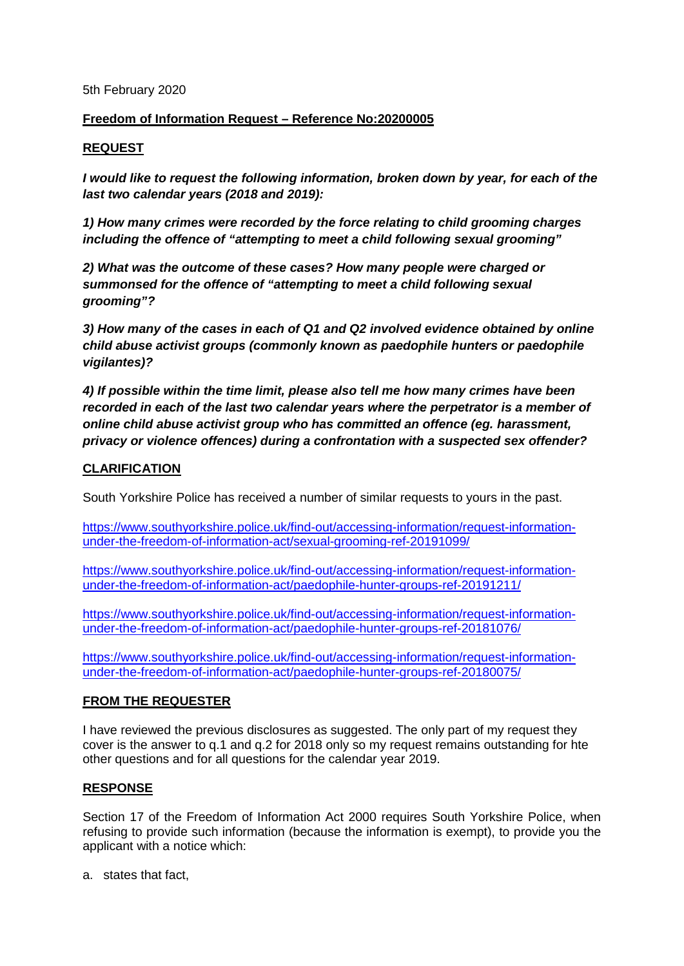#### 5th February 2020

# **Freedom of Information Request – Reference No:20200005**

## **REQUEST**

*I would like to request the following information, broken down by year, for each of the last two calendar years (2018 and 2019):*

*1) How many crimes were recorded by the force relating to child grooming charges including the offence of "attempting to meet a child following sexual grooming"*

*2) What was the outcome of these cases? How many people were charged or summonsed for the offence of "attempting to meet a child following sexual grooming"?*

*3) How many of the cases in each of Q1 and Q2 involved evidence obtained by online child abuse activist groups (commonly known as paedophile hunters or paedophile vigilantes)?*

*4) If possible within the time limit, please also tell me how many crimes have been recorded in each of the last two calendar years where the perpetrator is a member of online child abuse activist group who has committed an offence (eg. harassment, privacy or violence offences) during a confrontation with a suspected sex offender?*

## **CLARIFICATION**

South Yorkshire Police has received a number of similar requests to yours in the past.

[https://www.southyorkshire.police.uk/find-out/accessing-information/request-information](https://www.southyorkshire.police.uk/find-out/accessing-information/request-information-under-the-freedom-of-information-act/sexual-grooming-ref-20191099/)[under-the-freedom-of-information-act/sexual-grooming-ref-20191099/](https://www.southyorkshire.police.uk/find-out/accessing-information/request-information-under-the-freedom-of-information-act/sexual-grooming-ref-20191099/)

[https://www.southyorkshire.police.uk/find-out/accessing-information/request-information](https://www.southyorkshire.police.uk/find-out/accessing-information/request-information-under-the-freedom-of-information-act/paedophile-hunter-groups-ref-20191211/)[under-the-freedom-of-information-act/paedophile-hunter-groups-ref-20191211/](https://www.southyorkshire.police.uk/find-out/accessing-information/request-information-under-the-freedom-of-information-act/paedophile-hunter-groups-ref-20191211/)

[https://www.southyorkshire.police.uk/find-out/accessing-information/request-information](https://www.southyorkshire.police.uk/find-out/accessing-information/request-information-under-the-freedom-of-information-act/paedophile-hunter-groups-ref-20181076/)[under-the-freedom-of-information-act/paedophile-hunter-groups-ref-20181076/](https://www.southyorkshire.police.uk/find-out/accessing-information/request-information-under-the-freedom-of-information-act/paedophile-hunter-groups-ref-20181076/)

[https://www.southyorkshire.police.uk/find-out/accessing-information/request-information](https://www.southyorkshire.police.uk/find-out/accessing-information/request-information-under-the-freedom-of-information-act/paedophile-hunter-groups-ref-20180075/)[under-the-freedom-of-information-act/paedophile-hunter-groups-ref-20180075/](https://www.southyorkshire.police.uk/find-out/accessing-information/request-information-under-the-freedom-of-information-act/paedophile-hunter-groups-ref-20180075/)

## **FROM THE REQUESTER**

I have reviewed the previous disclosures as suggested. The only part of my request they cover is the answer to q.1 and q.2 for 2018 only so my request remains outstanding for hte other questions and for all questions for the calendar year 2019.

## **RESPONSE**

Section 17 of the Freedom of Information Act 2000 requires South Yorkshire Police, when refusing to provide such information (because the information is exempt), to provide you the applicant with a notice which:

a. states that fact,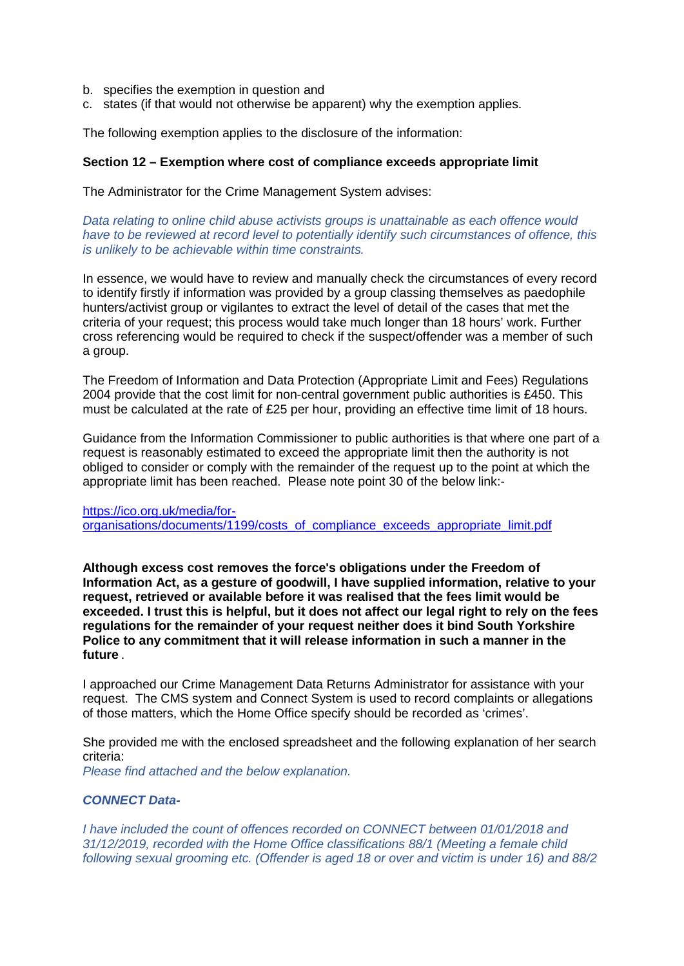- b. specifies the exemption in question and
- c. states (if that would not otherwise be apparent) why the exemption applies.

The following exemption applies to the disclosure of the information:

#### **Section 12 – Exemption where cost of compliance exceeds appropriate limit**

The Administrator for the Crime Management System advises:

*Data relating to online child abuse activists groups is unattainable as each offence would have to be reviewed at record level to potentially identify such circumstances of offence, this is unlikely to be achievable within time constraints.*

In essence, we would have to review and manually check the circumstances of every record to identify firstly if information was provided by a group classing themselves as paedophile hunters/activist group or vigilantes to extract the level of detail of the cases that met the criteria of your request; this process would take much longer than 18 hours' work. Further cross referencing would be required to check if the suspect/offender was a member of such a group.

The Freedom of Information and Data Protection (Appropriate Limit and Fees) Regulations 2004 provide that the cost limit for non-central government public authorities is £450. This must be calculated at the rate of £25 per hour, providing an effective time limit of 18 hours.

Guidance from the Information Commissioner to public authorities is that where one part of a request is reasonably estimated to exceed the appropriate limit then the authority is not obliged to consider or comply with the remainder of the request up to the point at which the appropriate limit has been reached. Please note point 30 of the below link:-

[https://ico.org.uk/media/for](https://ico.org.uk/media/for-organisations/documents/1199/costs_of_compliance_exceeds_appropriate_limit.pdf)[organisations/documents/1199/costs\\_of\\_compliance\\_exceeds\\_appropriate\\_limit.pdf](https://ico.org.uk/media/for-organisations/documents/1199/costs_of_compliance_exceeds_appropriate_limit.pdf)

**Although excess cost removes the force's obligations under the Freedom of Information Act, as a gesture of goodwill, I have supplied information, relative to your request, retrieved or available before it was realised that the fees limit would be exceeded. I trust this is helpful, but it does not affect our legal right to rely on the fees regulations for the remainder of your request neither does it bind South Yorkshire Police to any commitment that it will release information in such a manner in the future** *.*

I approached our Crime Management Data Returns Administrator for assistance with your request. The CMS system and Connect System is used to record complaints or allegations of those matters, which the Home Office specify should be recorded as 'crimes'.

She provided me with the enclosed spreadsheet and the following explanation of her search criteria:

*Please find attached and the below explanation.*

#### *CONNECT Data-*

*I have included the count of offences recorded on CONNECT between 01/01/2018 and 31/12/2019, recorded with the Home Office classifications 88/1 (Meeting a female child following sexual grooming etc. (Offender is aged 18 or over and victim is under 16) and 88/2*